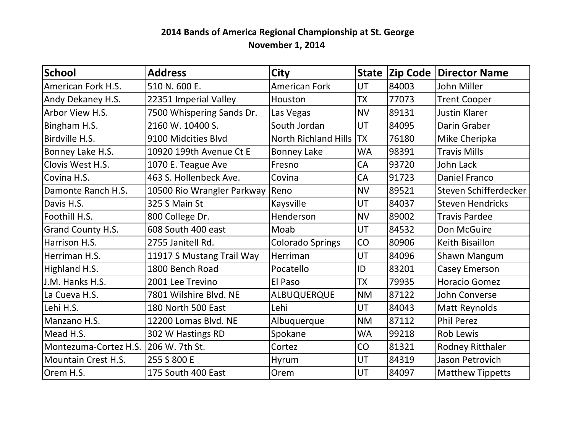## **2014 Bands of America Regional Championship at St. George November 1, 2014**

| <b>School</b>              | <b>Address</b>             | <b>City</b>                 | <b>State</b> | <b>Zip Code</b> | <b>Director Name</b>    |
|----------------------------|----------------------------|-----------------------------|--------------|-----------------|-------------------------|
| American Fork H.S.         | 510 N. 600 E.              | <b>American Fork</b>        | UT           | 84003           | John Miller             |
| Andy Dekaney H.S.          | 22351 Imperial Valley      | Houston                     | <b>TX</b>    | 77073           | <b>Trent Cooper</b>     |
| Arbor View H.S.            | 7500 Whispering Sands Dr.  | Las Vegas                   | <b>NV</b>    | 89131           | <b>Justin Klarer</b>    |
| Bingham H.S.               | 2160 W. 10400 S.           | South Jordan                | UT           | 84095           | Darin Graber            |
| Birdville H.S.             | 9100 Midcities Blvd        | <b>North Richland Hills</b> | <b>TX</b>    | 76180           | Mike Cheripka           |
| Bonney Lake H.S.           | 10920 199th Avenue Ct E    | <b>Bonney Lake</b>          | <b>WA</b>    | 98391           | <b>Travis Mills</b>     |
| Clovis West H.S.           | 1070 E. Teague Ave         | Fresno                      | CA           | 93720           | <b>John Lack</b>        |
| Covina H.S.                | 463 S. Hollenbeck Ave.     | Covina                      | CA           | 91723           | <b>Daniel Franco</b>    |
| Damonte Ranch H.S.         | 10500 Rio Wrangler Parkway | Reno                        | <b>NV</b>    | 89521           | Steven Schifferdecker   |
| Davis H.S.                 | 325 S Main St              | Kaysville                   | UT           | 84037           | <b>Steven Hendricks</b> |
| Foothill H.S.              | 800 College Dr.            | Henderson                   | <b>NV</b>    | 89002           | <b>Travis Pardee</b>    |
| <b>Grand County H.S.</b>   | 608 South 400 east         | Moab                        | UT           | 84532           | Don McGuire             |
| Harrison H.S.              | 2755 Janitell Rd.          | <b>Colorado Springs</b>     | CO           | 80906           | Keith Bisaillon         |
| Herriman H.S.              | 11917 S Mustang Trail Way  | Herriman                    | UT           | 84096           | <b>Shawn Mangum</b>     |
| Highland H.S.              | 1800 Bench Road            | Pocatello                   | ID           | 83201           | <b>Casey Emerson</b>    |
| J.M. Hanks H.S.            | 2001 Lee Trevino           | El Paso                     | <b>TX</b>    | 79935           | <b>Horacio Gomez</b>    |
| La Cueva H.S.              | 7801 Wilshire Blvd. NE     | ALBUQUERQUE                 | <b>NM</b>    | 87122           | John Converse           |
| Lehi H.S.                  | 180 North 500 East         | Lehi                        | UT           | 84043           | Matt Reynolds           |
| Manzano H.S.               | 12200 Lomas Blvd. NE       | Albuquerque                 | <b>NM</b>    | 87112           | <b>Phil Perez</b>       |
| Mead H.S.                  | 302 W Hastings RD          | Spokane                     | <b>WA</b>    | 99218           | <b>Rob Lewis</b>        |
| Montezuma-Cortez H.S.      | 206 W. 7th St.             | Cortez                      | CO           | 81321           | Rodney Ritthaler        |
| <b>Mountain Crest H.S.</b> | 255 S 800 E                | <b>Hyrum</b>                | UT           | 84319           | Jason Petrovich         |
| Orem H.S.                  | 175 South 400 East         | Orem                        | UT           | 84097           | <b>Matthew Tippetts</b> |